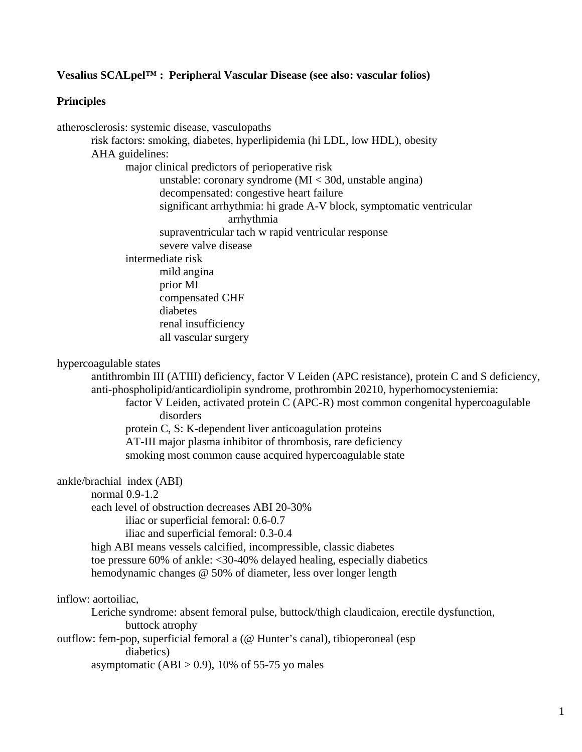# **Vesalius SCALpel™ : Peripheral Vascular Disease (see also: vascular folios)**

## **Principles**

atherosclerosis: systemic disease, vasculopaths risk factors: smoking, diabetes, hyperlipidemia (hi LDL, low HDL), obesity AHA guidelines: major clinical predictors of perioperative risk unstable: coronary syndrome (MI < 30d, unstable angina) decompensated: congestive heart failure significant arrhythmia: hi grade A-V block, symptomatic ventricular arrhythmia supraventricular tach w rapid ventricular response severe valve disease intermediate risk mild angina prior MI compensated CHF diabetes renal insufficiency all vascular surgery hypercoagulable states antithrombin III (ATIII) deficiency, factor V Leiden (APC resistance), protein C and S deficiency, anti-phospholipid/anticardiolipin syndrome, prothrombin 20210, hyperhomocysteniemia: factor V Leiden, activated protein C (APC-R) most common congenital hypercoagulable disorders protein C, S: K-dependent liver anticoagulation proteins

 AT-III major plasma inhibitor of thrombosis, rare deficiency smoking most common cause acquired hypercoagulable state

ankle/brachial index (ABI)

normal 0.9-1.2

each level of obstruction decreases ABI 20-30%

iliac or superficial femoral: 0.6-0.7

iliac and superficial femoral: 0.3-0.4

 high ABI means vessels calcified, incompressible, classic diabetes toe pressure 60% of ankle: <30-40% delayed healing, especially diabetics hemodynamic changes @ 50% of diameter, less over longer length

### inflow: aortoiliac,

 Leriche syndrome: absent femoral pulse, buttock/thigh claudicaion, erectile dysfunction, buttock atrophy

outflow: fem-pop, superficial femoral a (@ Hunter's canal), tibioperoneal (esp diabetics)

asymptomatic  $(ABI > 0.9)$ , 10% of 55-75 yo males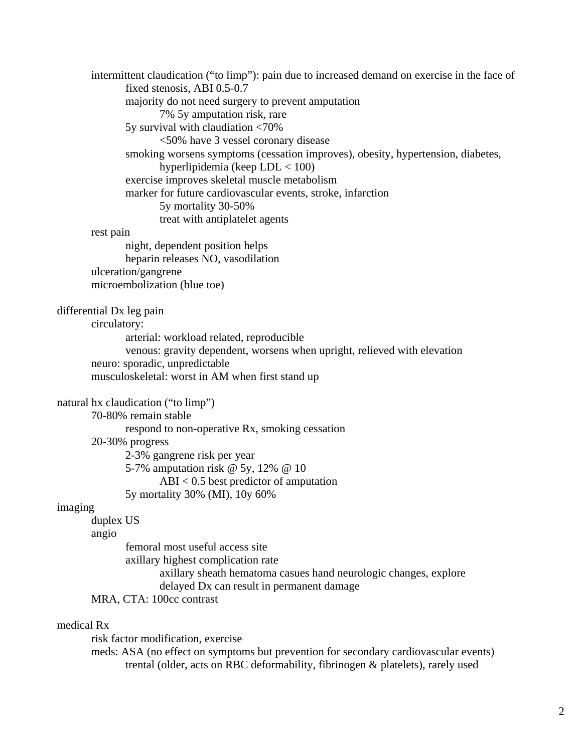intermittent claudication ("to limp"): pain due to increased demand on exercise in the face of fixed stenosis, ABI 0.5-0.7 majority do not need surgery to prevent amputation 7% 5y amputation risk, rare 5y survival with claudiation <70% <50% have 3 vessel coronary disease smoking worsens symptoms (cessation improves), obesity, hypertension, diabetes, hyperlipidemia (keep LDL < 100) exercise improves skeletal muscle metabolism marker for future cardiovascular events, stroke, infarction 5y mortality 30-50% treat with antiplatelet agents rest pain night, dependent position helps heparin releases NO, vasodilation ulceration/gangrene microembolization (blue toe) differential Dx leg pain circulatory: arterial: workload related, reproducible venous: gravity dependent, worsens when upright, relieved with elevation neuro: sporadic, unpredictable musculoskeletal: worst in AM when first stand up natural hx claudication ("to limp") 70-80% remain stable respond to non-operative Rx, smoking cessation 20-30% progress 2-3% gangrene risk per year 5-7% amputation risk @ 5y, 12% @ 10 ABI < 0.5 best predictor of amputation 5y mortality 30% (MI), 10y 60% imaging duplex US angio femoral most useful access site axillary highest complication rate axillary sheath hematoma casues hand neurologic changes, explore delayed Dx can result in permanent damage MRA, CTA: 100cc contrast medical Rx risk factor modification, exercise meds: ASA (no effect on symptoms but prevention for secondary cardiovascular events)

trental (older, acts on RBC deformability, fibrinogen & platelets), rarely used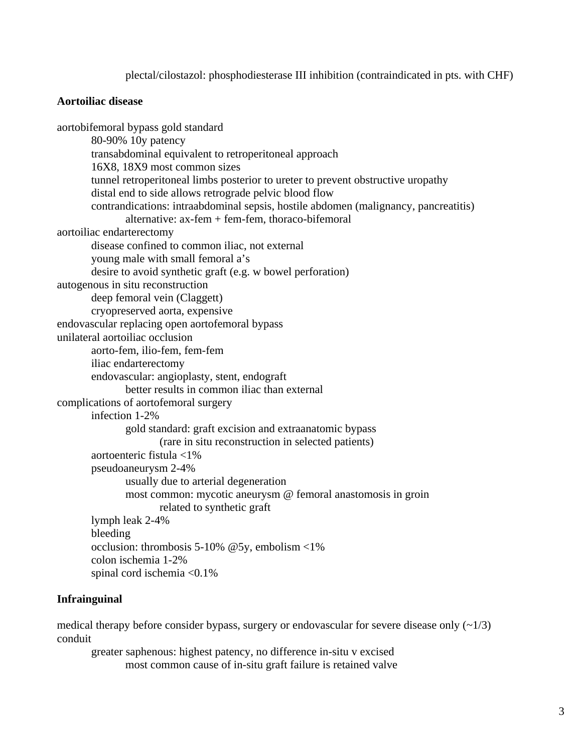plectal/cilostazol: phosphodiesterase III inhibition (contraindicated in pts. with CHF)

# **Aortoiliac disease**

aortobifemoral bypass gold standard 80-90% 10y patency transabdominal equivalent to retroperitoneal approach 16X8, 18X9 most common sizes tunnel retroperitoneal limbs posterior to ureter to prevent obstructive uropathy distal end to side allows retrograde pelvic blood flow contrandications: intraabdominal sepsis, hostile abdomen (malignancy, pancreatitis) alternative: ax-fem + fem-fem, thoraco-bifemoral aortoiliac endarterectomy disease confined to common iliac, not external young male with small femoral a's desire to avoid synthetic graft (e.g. w bowel perforation) autogenous in situ reconstruction deep femoral vein (Claggett) cryopreserved aorta, expensive endovascular replacing open aortofemoral bypass unilateral aortoiliac occlusion aorto-fem, ilio-fem, fem-fem iliac endarterectomy endovascular: angioplasty, stent, endograft better results in common iliac than external complications of aortofemoral surgery infection 1-2% gold standard: graft excision and extraanatomic bypass (rare in situ reconstruction in selected patients) aortoenteric fistula <1% pseudoaneurysm 2-4% usually due to arterial degeneration most common: mycotic aneurysm @ femoral anastomosis in groin related to synthetic graft lymph leak 2-4% bleeding occlusion: thrombosis 5-10% @5y, embolism <1% colon ischemia 1-2% spinal cord ischemia <0.1%

# **Infrainguinal**

medical therapy before consider bypass, surgery or endovascular for severe disease only  $(\sim 1/3)$ conduit

 greater saphenous: highest patency, no difference in-situ v excised most common cause of in-situ graft failure is retained valve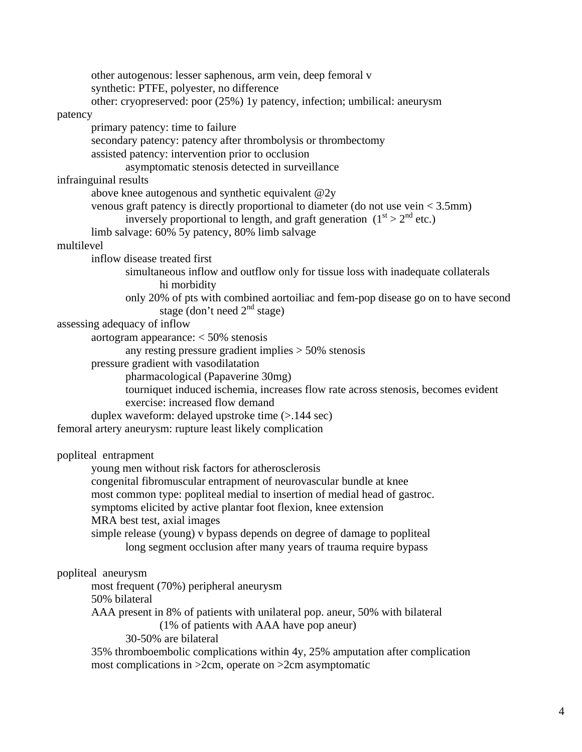other autogenous: lesser saphenous, arm vein, deep femoral v synthetic: PTFE, polyester, no difference other: cryopreserved: poor (25%) 1y patency, infection; umbilical: aneurysm patency primary patency: time to failure secondary patency: patency after thrombolysis or thrombectomy assisted patency: intervention prior to occlusion asymptomatic stenosis detected in surveillance infrainguinal results above knee autogenous and synthetic equivalent @2y venous graft patency is directly proportional to diameter (do not use vein < 3.5mm) inversely proportional to length, and graft generation  $(1<sup>st</sup> > 2<sup>nd</sup>$  etc.) limb salvage: 60% 5y patency, 80% limb salvage multilevel inflow disease treated first simultaneous inflow and outflow only for tissue loss with inadequate collaterals hi morbidity only 20% of pts with combined aortoiliac and fem-pop disease go on to have second stage (don't need  $2<sup>nd</sup>$  stage) assessing adequacy of inflow aortogram appearance: < 50% stenosis any resting pressure gradient implies > 50% stenosis pressure gradient with vasodilatation pharmacological (Papaverine 30mg) tourniquet induced ischemia, increases flow rate across stenosis, becomes evident exercise: increased flow demand duplex waveform: delayed upstroke time (>.144 sec) femoral artery aneurysm: rupture least likely complication popliteal entrapment young men without risk factors for atherosclerosis congenital fibromuscular entrapment of neurovascular bundle at knee most common type: popliteal medial to insertion of medial head of gastroc. symptoms elicited by active plantar foot flexion, knee extension MRA best test, axial images simple release (young) v bypass depends on degree of damage to popliteal long segment occlusion after many years of trauma require bypass popliteal aneurysm most frequent (70%) peripheral aneurysm 50% bilateral AAA present in 8% of patients with unilateral pop. aneur, 50% with bilateral (1% of patients with AAA have pop aneur) 30-50% are bilateral 35% thromboembolic complications within 4y, 25% amputation after complication

most complications in >2cm, operate on >2cm asymptomatic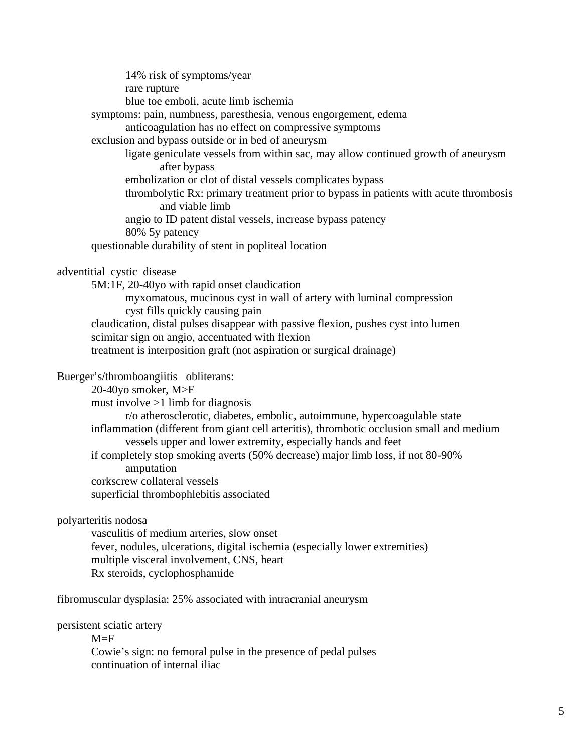14% risk of symptoms/year rare rupture blue toe emboli, acute limb ischemia symptoms: pain, numbness, paresthesia, venous engorgement, edema anticoagulation has no effect on compressive symptoms exclusion and bypass outside or in bed of aneurysm ligate geniculate vessels from within sac, may allow continued growth of aneurysm after bypass embolization or clot of distal vessels complicates bypass thrombolytic Rx: primary treatment prior to bypass in patients with acute thrombosis and viable limb angio to ID patent distal vessels, increase bypass patency 80% 5y patency questionable durability of stent in popliteal location adventitial cystic disease 5M:1F, 20-40yo with rapid onset claudication myxomatous, mucinous cyst in wall of artery with luminal compression cyst fills quickly causing pain claudication, distal pulses disappear with passive flexion, pushes cyst into lumen scimitar sign on angio, accentuated with flexion treatment is interposition graft (not aspiration or surgical drainage) Buerger's/thromboangiitis obliterans: 20-40yo smoker, M>F must involve >1 limb for diagnosis r/o atherosclerotic, diabetes, embolic, autoimmune, hypercoagulable state inflammation (different from giant cell arteritis), thrombotic occlusion small and medium vessels upper and lower extremity, especially hands and feet if completely stop smoking averts (50% decrease) major limb loss, if not 80-90% amputation corkscrew collateral vessels superficial thrombophlebitis associated polyarteritis nodosa vasculitis of medium arteries, slow onset fever, nodules, ulcerations, digital ischemia (especially lower extremities) multiple visceral involvement, CNS, heart

Rx steroids, cyclophosphamide

fibromuscular dysplasia: 25% associated with intracranial aneurysm

persistent sciatic artery

 $M = F$ 

 Cowie's sign: no femoral pulse in the presence of pedal pulses continuation of internal iliac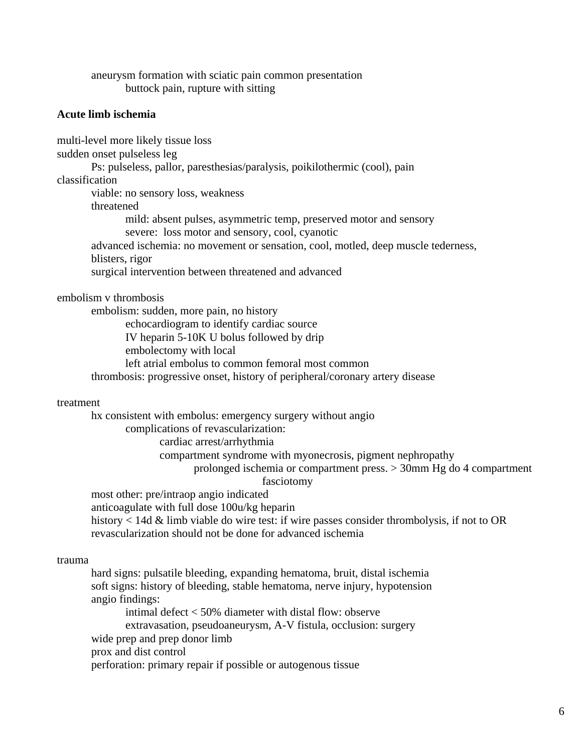aneurysm formation with sciatic pain common presentation buttock pain, rupture with sitting

### **Acute limb ischemia**

multi-level more likely tissue loss sudden onset pulseless leg Ps: pulseless, pallor, paresthesias/paralysis, poikilothermic (cool), pain classification viable: no sensory loss, weakness threatened mild: absent pulses, asymmetric temp, preserved motor and sensory severe: loss motor and sensory, cool, cyanotic advanced ischemia: no movement or sensation, cool, motled, deep muscle tederness, blisters, rigor surgical intervention between threatened and advanced

embolism v thrombosis

 embolism: sudden, more pain, no history echocardiogram to identify cardiac source IV heparin 5-10K U bolus followed by drip embolectomy with local left atrial embolus to common femoral most common thrombosis: progressive onset, history of peripheral/coronary artery disease

#### treatment

 hx consistent with embolus: emergency surgery without angio complications of revascularization: cardiac arrest/arrhythmia compartment syndrome with myonecrosis, pigment nephropathy prolonged ischemia or compartment press. > 30mm Hg do 4 compartment fasciotomy most other: pre/intraop angio indicated anticoagulate with full dose 100u/kg heparin history < 14d & limb viable do wire test: if wire passes consider thrombolysis, if not to OR revascularization should not be done for advanced ischemia

#### trauma

 hard signs: pulsatile bleeding, expanding hematoma, bruit, distal ischemia soft signs: history of bleeding, stable hematoma, nerve injury, hypotension angio findings: intimal defect < 50% diameter with distal flow: observe extravasation, pseudoaneurysm, A-V fistula, occlusion: surgery wide prep and prep donor limb prox and dist control perforation: primary repair if possible or autogenous tissue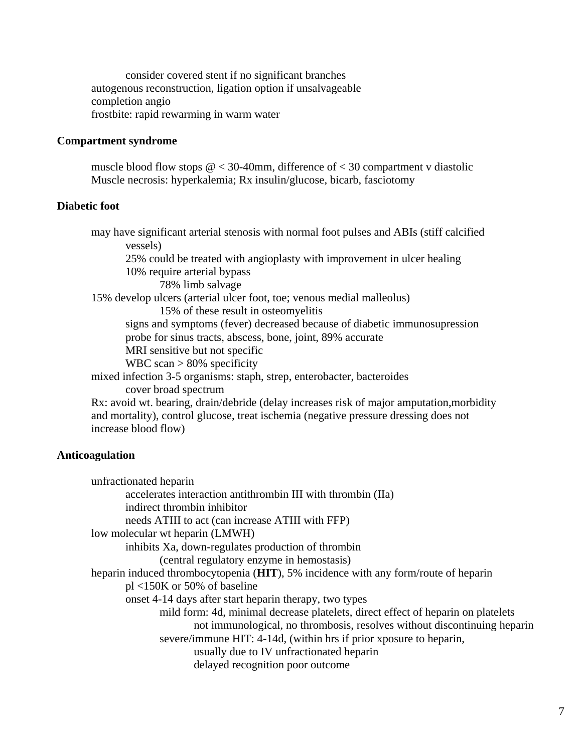consider covered stent if no significant branches autogenous reconstruction, ligation option if unsalvageable completion angio frostbite: rapid rewarming in warm water

### **Compartment syndrome**

muscle blood flow stops  $\omega$  < 30-40mm, difference of < 30 compartment v diastolic Muscle necrosis: hyperkalemia; Rx insulin/glucose, bicarb, fasciotomy

## **Diabetic foot**

 may have significant arterial stenosis with normal foot pulses and ABIs (stiff calcified vessels) 25% could be treated with angioplasty with improvement in ulcer healing 10% require arterial bypass 78% limb salvage 15% develop ulcers (arterial ulcer foot, toe; venous medial malleolus) 15% of these result in osteomyelitis signs and symptoms (fever) decreased because of diabetic immunosupression probe for sinus tracts, abscess, bone, joint, 89% accurate MRI sensitive but not specific WBC scan  $> 80\%$  specificity mixed infection 3-5 organisms: staph, strep, enterobacter, bacteroides cover broad spectrum Rx: avoid wt. bearing, drain/debride (delay increases risk of major amputation,morbidity and mortality), control glucose, treat ischemia (negative pressure dressing does not increase blood flow)

## **Anticoagulation**

 unfractionated heparin accelerates interaction antithrombin III with thrombin (IIa) indirect thrombin inhibitor needs ATIII to act (can increase ATIII with FFP) low molecular wt heparin (LMWH) inhibits Xa, down-regulates production of thrombin (central regulatory enzyme in hemostasis) heparin induced thrombocytopenia (**HIT**), 5% incidence with any form/route of heparin pl <150K or 50% of baseline onset 4-14 days after start heparin therapy, two types mild form: 4d, minimal decrease platelets, direct effect of heparin on platelets not immunological, no thrombosis, resolves without discontinuing heparin severe/immune HIT: 4-14d, (within hrs if prior xposure to heparin, usually due to IV unfractionated heparin delayed recognition poor outcome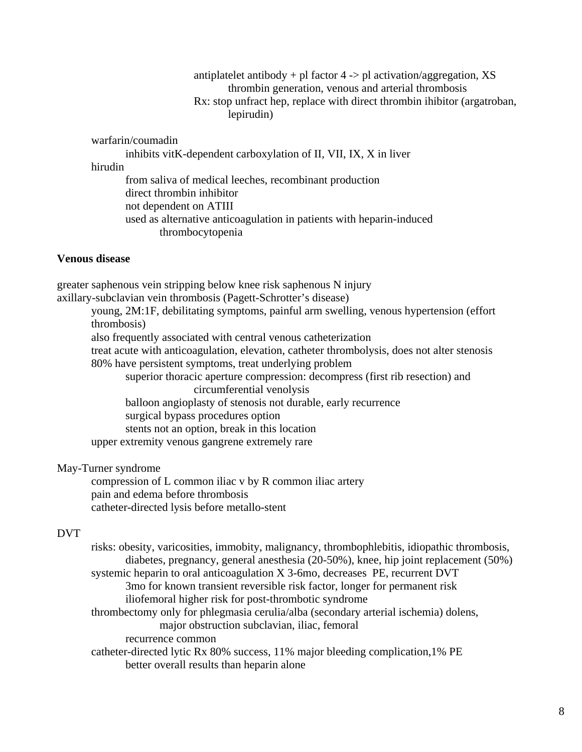antiplatelet antibody  $+$  pl factor  $4 \rightarrow$  pl activation/aggregation, XS thrombin generation, venous and arterial thrombosis Rx: stop unfract hep, replace with direct thrombin ihibitor (argatroban, lepirudin)

warfarin/coumadin

 inhibits vitK-dependent carboxylation of II, VII, IX, X in liver hirudin from saliva of medical leeches, recombinant production direct thrombin inhibitor not dependent on ATIII used as alternative anticoagulation in patients with heparin-induced thrombocytopenia

### **Venous disease**

greater saphenous vein stripping below knee risk saphenous N injury axillary-subclavian vein thrombosis (Pagett-Schrotter's disease) young, 2M:1F, debilitating symptoms, painful arm swelling, venous hypertension (effort thrombosis) also frequently associated with central venous catheterization treat acute with anticoagulation, elevation, catheter thrombolysis, does not alter stenosis 80% have persistent symptoms, treat underlying problem superior thoracic aperture compression: decompress (first rib resection) and circumferential venolysis balloon angioplasty of stenosis not durable, early recurrence surgical bypass procedures option stents not an option, break in this location upper extremity venous gangrene extremely rare

## May-Turner syndrome

 compression of L common iliac v by R common iliac artery pain and edema before thrombosis catheter-directed lysis before metallo-stent

# DVT

 risks: obesity, varicosities, immobity, malignancy, thrombophlebitis, idiopathic thrombosis, diabetes, pregnancy, general anesthesia (20-50%), knee, hip joint replacement (50%) systemic heparin to oral anticoagulation X 3-6mo, decreases PE, recurrent DVT 3mo for known transient reversible risk factor, longer for permanent risk iliofemoral higher risk for post-thrombotic syndrome thrombectomy only for phlegmasia cerulia/alba (secondary arterial ischemia) dolens, major obstruction subclavian, iliac, femoral recurrence common catheter-directed lytic Rx 80% success, 11% major bleeding complication,1% PE better overall results than heparin alone